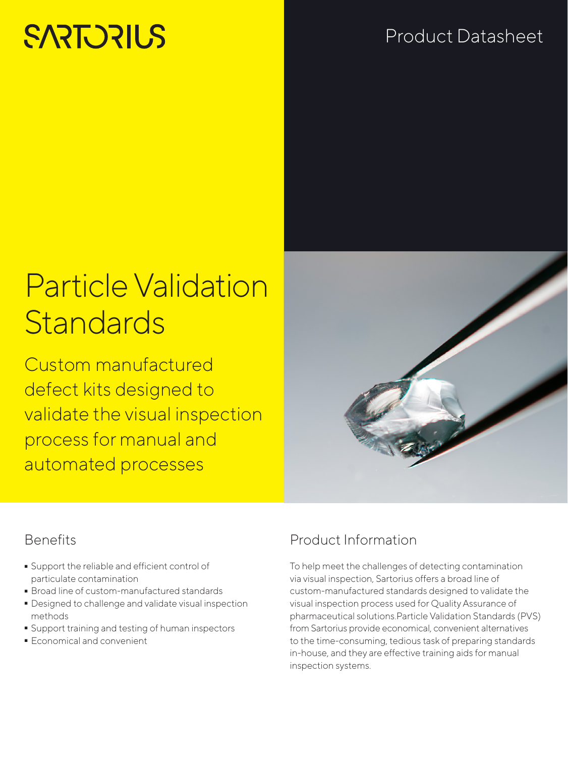# **SARTORILS**

## Product Datasheet

# Particle Validation **Standards**

Custom manufactured defect kits designed to validate the visual inspection process for manual and automated processes



### **Benefits**

- Support the reliable and efficient control of<br>particulate contamination<br>• Broad line of custom-manufactured standards particulate contamination
- 
- Broad line of custom-manufactured standards - Designed to challenge and validate visual inspection methods
- Support training and testing of human inspectors
- Economical and convenient

### Product Information

To help meet the challenges of detecting contamination via visual inspection, Sartorius offers a broad line of custom-manufactured standards designed to validate the visual inspection process used for Quality Assurance of pharmaceutical solutions.Particle Validation Standards (PVS) from Sartorius provide economical, convenient alternatives to the time-consuming, tedious task of preparing standards in-house, and they are effective training aids for manual inspection systems.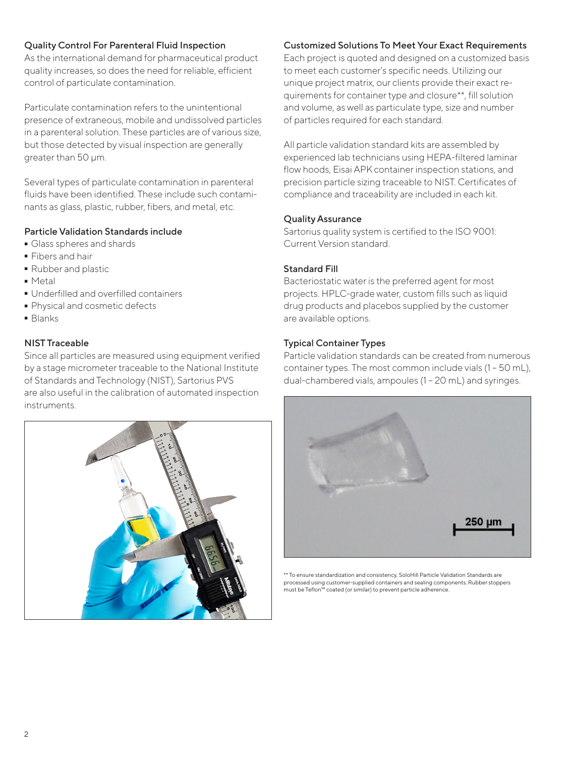#### Quality Control For Parenteral Fluid Inspection

As the international demand for pharmaceutical product quality increases, so does the need for reliable, efficient control of particulate contamination.

Particulate contamination refers to the unintentional presence of extraneous, mobile and undissolved particles in a parenteral solution. These particles are of various size, but those detected by visual inspection are generally greater than 50 μm.

Several types of particulate contamination in parenteral fluids have been identified. These include such contaminants as glass, plastic, rubber, fibers, and metal, etc.

#### Particle Validation Standards include

- Glass spheres and shards<br>• Fibers and hair
- 
- Fibers and hair<br>• Rubber and pla • Rubber and plastic<br>• Metal
- 
- Metal<br>• Underfilled and overfilled containers ■ Underfilled and overfilled containers<br>■ Physical and cosmetic defects
- Physical and cosmetic defects
- Blanks

#### NIST Traceable

Since all particles are measured using equipment verified by a stage micrometer traceable to the National Institute of Standards and Technology (NIST), Sartorius PVS are also useful in the calibration of automated inspection instruments.



#### Customized Solutions To Meet Your Exact Requirements

Each project is quoted and designed on a customized basis to meet each customer's specific needs. Utilizing our unique project matrix, our clients provide their exact requirements for container type and closure\*\*, fill solution and volume, as well as particulate type, size and number of particles required for each standard.

All particle validation standard kits are assembled by experienced lab technicians using HEPA-filtered laminar flow hoods, Eisai APK container inspection stations, and precision particle sizing traceable to NIST. Certificates of compliance and traceability are included in each kit.

#### Quality Assurance

Sartorius quality system is certified to the ISO 9001: Current Version standard.

#### Standard Fill

Bacteriostatic water is the preferred agent for most projects. HPLC-grade water, custom fills such as liquid drug products and placebos supplied by the customer are available options.

#### Typical Container Types

Particle validation standards can be created from numerous container types. The most common include vials (1 – 50 mL), dual-chambered vials, ampoules (1 – 20 mL) and syringes.



\*\* To ensure standardization and consistency, SoloHill Particle Validation Standards are processed using customer-supplied containers and sealing components. Rubber stoppers must be Teflon™ coated (or similar) to prevent particle adherence.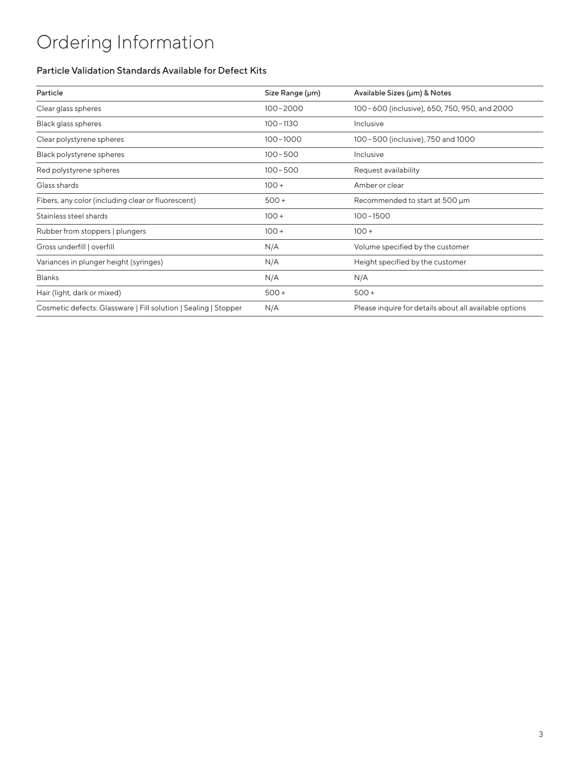## Ordering Information

#### Particle Validation Standards Available for Defect Kits

| Particle                                                        | Size Range (µm) | Available Sizes (µm) & Notes                           |
|-----------------------------------------------------------------|-----------------|--------------------------------------------------------|
| Clear glass spheres                                             | $100 - 2000$    | 100-600 (inclusive), 650, 750, 950, and 2000           |
| Black glass spheres                                             | $100 - 1130$    | Inclusive                                              |
| Clear polystyrene spheres                                       | $100 - 1000$    | 100-500 (inclusive), 750 and 1000                      |
| Black polystyrene spheres                                       | $100 - 500$     | Inclusive                                              |
| Red polystyrene spheres                                         | $100 - 500$     | Request availability                                   |
| Glass shards                                                    | $100 +$         | Amber or clear                                         |
| Fibers, any color (including clear or fluorescent)              | $500 +$         | Recommended to start at 500 µm                         |
| Stainless steel shards                                          | $100 +$         | $100 - 1500$                                           |
| Rubber from stoppers   plungers                                 | $100 +$         | $100 +$                                                |
| Gross underfill   overfill                                      | N/A             | Volume specified by the customer                       |
| Variances in plunger height (syringes)                          | N/A             | Height specified by the customer                       |
| <b>Blanks</b>                                                   | N/A             | N/A                                                    |
| Hair (light, dark or mixed)                                     | $500 +$         | $500+$                                                 |
| Cosmetic defects: Glassware   Fill solution   Sealing   Stopper | N/A             | Please inquire for details about all available options |